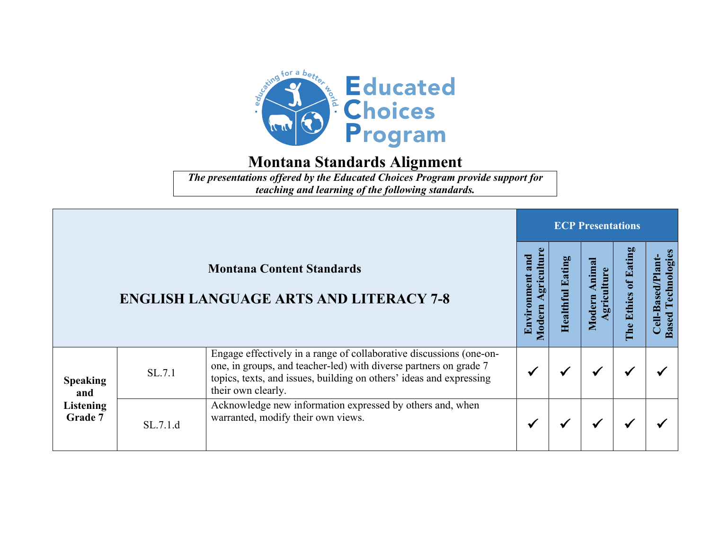

*The presentations offered by the Educated Choices Program provide support for teaching and learning of the following standards.*

|                                                       |          | <b>ECP Presentations</b>                                                                                                                                                                                                              |                                           |  |                   |                         |                                              |  |
|-------------------------------------------------------|----------|---------------------------------------------------------------------------------------------------------------------------------------------------------------------------------------------------------------------------------------|-------------------------------------------|--|-------------------|-------------------------|----------------------------------------------|--|
|                                                       |          | <b>Montana Content Standards</b><br><b>ENGLISH LANGUAGE ARTS AND LITERACY 7-8</b>                                                                                                                                                     | griculture<br>and<br>Environmen<br>Modern |  | mim<br>$\bf{Mod}$ | Eating<br>Ethics<br>The | Technologie<br>Cell-Based/Plant<br>ased<br>m |  |
| <b>Speaking</b><br>and<br><b>Listening</b><br>Grade 7 | SL.7.1   | Engage effectively in a range of collaborative discussions (one-on-<br>one, in groups, and teacher-led) with diverse partners on grade 7<br>topics, texts, and issues, building on others' ideas and expressing<br>their own clearly. |                                           |  | ✔                 |                         |                                              |  |
|                                                       | SL.7.1.d | Acknowledge new information expressed by others and, when<br>warranted, modify their own views.                                                                                                                                       |                                           |  |                   |                         |                                              |  |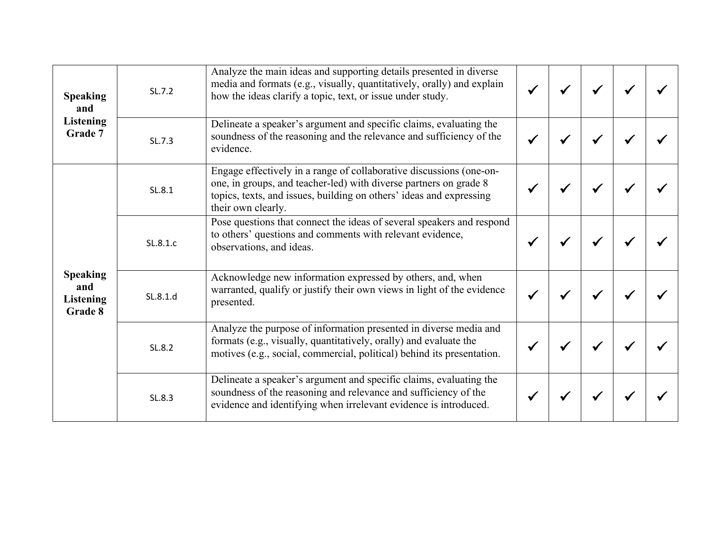| <b>Speaking</b><br>and<br><b>Listening</b><br>Grade 7 | SL.7.2   | Analyze the main ideas and supporting details presented in diverse<br>media and formats (e.g., visually, quantitatively, orally) and explain<br>how the ideas clarify a topic, text, or issue under study.                            |  |  |  |
|-------------------------------------------------------|----------|---------------------------------------------------------------------------------------------------------------------------------------------------------------------------------------------------------------------------------------|--|--|--|
|                                                       | SL.7.3   | Delineate a speaker's argument and specific claims, evaluating the<br>soundness of the reasoning and the relevance and sufficiency of the<br>evidence.                                                                                |  |  |  |
| <b>Speaking</b><br>and<br><b>Listening</b><br>Grade 8 | SL.8.1   | Engage effectively in a range of collaborative discussions (one-on-<br>one, in groups, and teacher-led) with diverse partners on grade 8<br>topics, texts, and issues, building on others' ideas and expressing<br>their own clearly. |  |  |  |
|                                                       | SL.8.1.c | Pose questions that connect the ideas of several speakers and respond<br>to others' questions and comments with relevant evidence,<br>observations, and ideas.                                                                        |  |  |  |
|                                                       | SL.8.1.d | Acknowledge new information expressed by others, and, when<br>warranted, qualify or justify their own views in light of the evidence<br>presented.                                                                                    |  |  |  |
|                                                       | SL.8.2   | Analyze the purpose of information presented in diverse media and<br>formats (e.g., visually, quantitatively, orally) and evaluate the<br>motives (e.g., social, commercial, political) behind its presentation.                      |  |  |  |
|                                                       | SL.8.3   | Delineate a speaker's argument and specific claims, evaluating the<br>soundness of the reasoning and relevance and sufficiency of the<br>evidence and identifying when irrelevant evidence is introduced.                             |  |  |  |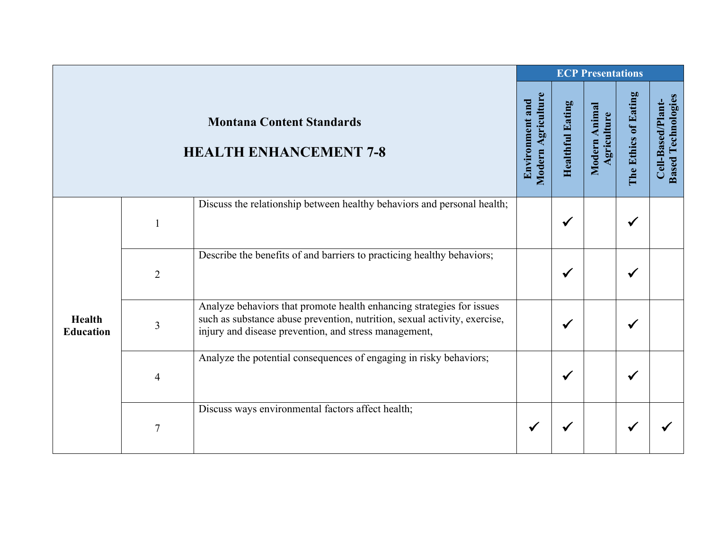|                  |                |                                                                                                                                                    |                                       | <b>ECP Presentations</b> |                              |                      |                                                |
|------------------|----------------|----------------------------------------------------------------------------------------------------------------------------------------------------|---------------------------------------|--------------------------|------------------------------|----------------------|------------------------------------------------|
|                  |                | <b>Montana Content Standards</b><br><b>HEALTH ENHANCEMENT 7-8</b>                                                                                  | Modern Agriculture<br>Environment and | <b>Healthful Eating</b>  | Modern Animal<br>Agriculture | The Ethics of Eating | <b>Based Technologies</b><br>Cell-Based/Plant- |
|                  |                | Discuss the relationship between healthy behaviors and personal health;                                                                            |                                       |                          |                              |                      |                                                |
|                  | $\mathbf{1}$   |                                                                                                                                                    |                                       | $\checkmark$             |                              |                      |                                                |
|                  |                | Describe the benefits of and barriers to practicing healthy behaviors;                                                                             |                                       |                          |                              |                      |                                                |
|                  | $\overline{2}$ |                                                                                                                                                    |                                       | $\checkmark$             |                              |                      |                                                |
| Health           |                | Analyze behaviors that promote health enhancing strategies for issues<br>such as substance abuse prevention, nutrition, sexual activity, exercise, |                                       |                          |                              |                      |                                                |
| <b>Education</b> | 3              | injury and disease prevention, and stress management,                                                                                              |                                       | ✔                        |                              |                      |                                                |
|                  |                | Analyze the potential consequences of engaging in risky behaviors;                                                                                 |                                       |                          |                              |                      |                                                |
|                  | 4              |                                                                                                                                                    |                                       | $\checkmark$             |                              |                      |                                                |
|                  |                | Discuss ways environmental factors affect health;                                                                                                  |                                       |                          |                              |                      |                                                |
|                  | $\overline{7}$ |                                                                                                                                                    | $\checkmark$                          | √                        |                              |                      |                                                |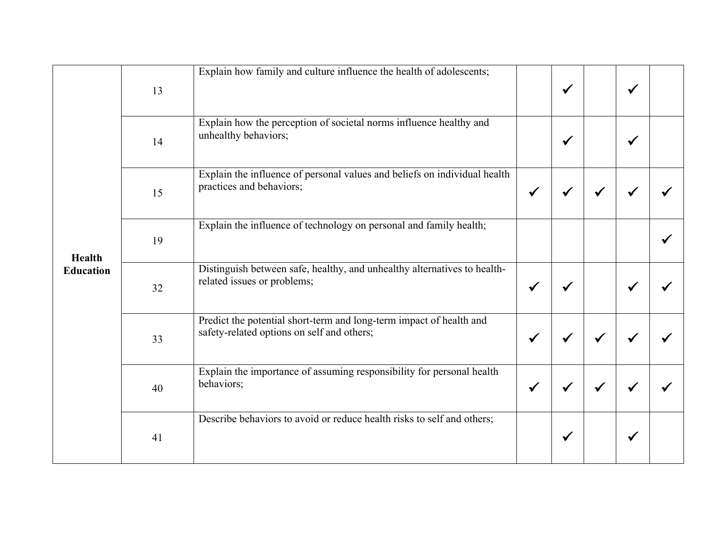| <b>Health</b><br><b>Education</b> | 13 | Explain how family and culture influence the health of adolescents;                                               |              | $\checkmark$ |              | ✔ |  |
|-----------------------------------|----|-------------------------------------------------------------------------------------------------------------------|--------------|--------------|--------------|---|--|
|                                   | 14 | Explain how the perception of societal norms influence healthy and<br>unhealthy behaviors;                        |              | $\checkmark$ |              |   |  |
|                                   | 15 | Explain the influence of personal values and beliefs on individual health<br>practices and behaviors;             | $\checkmark$ | ✔            |              |   |  |
|                                   | 19 | Explain the influence of technology on personal and family health;                                                |              |              |              |   |  |
|                                   | 32 | Distinguish between safe, healthy, and unhealthy alternatives to health-<br>related issues or problems;           | $\checkmark$ | ✔            |              |   |  |
|                                   | 33 | Predict the potential short-term and long-term impact of health and<br>safety-related options on self and others; | $\checkmark$ |              |              |   |  |
|                                   | 40 | Explain the importance of assuming responsibility for personal health<br>behaviors;                               | $\checkmark$ | $\checkmark$ | $\checkmark$ |   |  |
|                                   | 41 | Describe behaviors to avoid or reduce health risks to self and others;                                            |              | √            |              |   |  |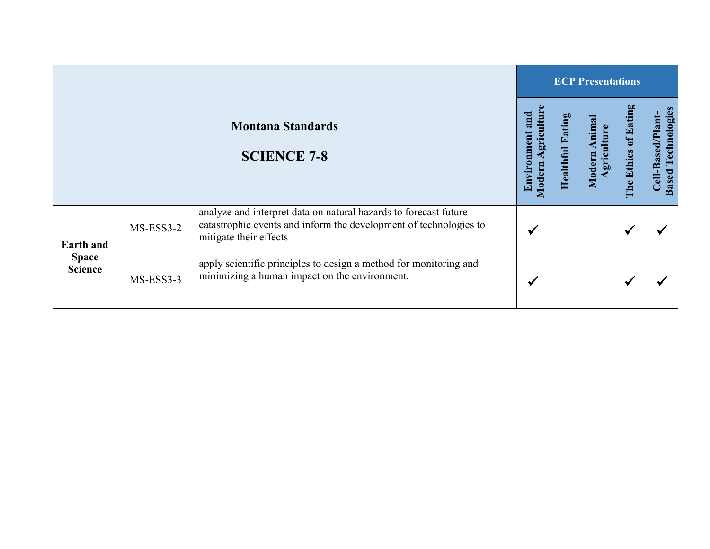|                                                    |             |                                                                                                                                                                 |                                            |                     | <b>ECP Presentations</b>      |                      |                                                  |  |  |  |  |
|----------------------------------------------------|-------------|-----------------------------------------------------------------------------------------------------------------------------------------------------------------|--------------------------------------------|---------------------|-------------------------------|----------------------|--------------------------------------------------|--|--|--|--|
| <b>Montana Standards</b><br><b>SCIENCE 7-8</b>     |             |                                                                                                                                                                 | griculture<br>and<br>Environment<br>Modern | Eating<br>Healthful | nimal<br>griculture<br>Modern | The Ethics of Eating | Technologies<br>Cell-Based/Plant<br><b>Based</b> |  |  |  |  |
| <b>Earth and</b><br><b>Space</b><br><b>Science</b> | $MS-ESS3-2$ | analyze and interpret data on natural hazards to forecast future<br>catastrophic events and inform the development of technologies to<br>mitigate their effects | ✔                                          |                     |                               | ✔                    |                                                  |  |  |  |  |
|                                                    | MS-ESS3-3   | apply scientific principles to design a method for monitoring and<br>minimizing a human impact on the environment.                                              | ✔                                          |                     |                               | ✔                    |                                                  |  |  |  |  |